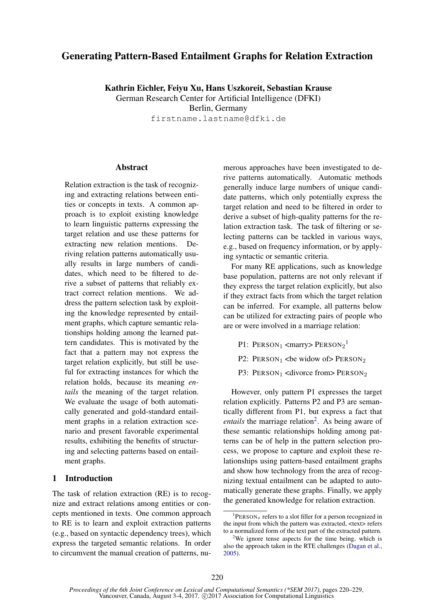# Generating Pattern-Based Entailment Graphs for Relation Extraction

Kathrin Eichler, Feiyu Xu, Hans Uszkoreit, Sebastian Krause

German Research Center for Artificial Intelligence (DFKI) Berlin, Germany firstname.lastname@dfki.de

## Abstract

Relation extraction is the task of recognizing and extracting relations between entities or concepts in texts. A common approach is to exploit existing knowledge to learn linguistic patterns expressing the target relation and use these patterns for extracting new relation mentions. Deriving relation patterns automatically usually results in large numbers of candidates, which need to be filtered to derive a subset of patterns that reliably extract correct relation mentions. We address the pattern selection task by exploiting the knowledge represented by entailment graphs, which capture semantic relationships holding among the learned pattern candidates. This is motivated by the fact that a pattern may not express the target relation explicitly, but still be useful for extracting instances for which the relation holds, because its meaning *entails* the meaning of the target relation. We evaluate the usage of both automatically generated and gold-standard entailment graphs in a relation extraction scenario and present favorable experimental results, exhibiting the benefits of structuring and selecting patterns based on entailment graphs.

# 1 Introduction

The task of relation extraction (RE) is to recognize and extract relations among entities or concepts mentioned in texts. One common approach to RE is to learn and exploit extraction patterns (e.g., based on syntactic dependency trees), which express the targeted semantic relations. In order to circumvent the manual creation of patterns, nu-

merous approaches have been investigated to derive patterns automatically. Automatic methods generally induce large numbers of unique candidate patterns, which only potentially express the target relation and need to be filtered in order to derive a subset of high-quality patterns for the relation extraction task. The task of filtering or selecting patterns can be tackled in various ways, e.g., based on frequency information, or by applying syntactic or semantic criteria.

For many RE applications, such as knowledge base population, patterns are not only relevant if they express the target relation explicitly, but also if they extract facts from which the target relation can be inferred. For example, all patterns below can be utilized for extracting pairs of people who are or were involved in a marriage relation:

- P1:  $PERSON_1$  <marry> $PERSON_2$ <sup>1</sup>
- P2: PERSON<sub>1</sub> <br/>be widow of > PERSON<sub>2</sub>
- P3: PERSON<sub>1</sub> <divorce from> PERSON<sub>2</sub>

However, only pattern P1 expresses the target relation explicitly. Patterns P2 and P3 are semantically different from P1, but express a fact that entails the marriage relation<sup>2</sup>. As being aware of these semantic relationships holding among patterns can be of help in the pattern selection process, we propose to capture and exploit these relationships using pattern-based entailment graphs and show how technology from the area of recognizing textual entailment can be adapted to automatically generate these graphs. Finally, we apply the generated knowledge for relation extraction.

<sup>&</sup>lt;sup>1</sup>PERSON<sub>x</sub> refers to a slot filler for a person recognized in the input from which the pattern was extracted, <text> refers to a normalized form of the text part of the extracted pattern.

<sup>&</sup>lt;sup>2</sup>We ignore tense aspects for the time being, which is also the approach taken in the RTE challenges (Dagan et al., 2005).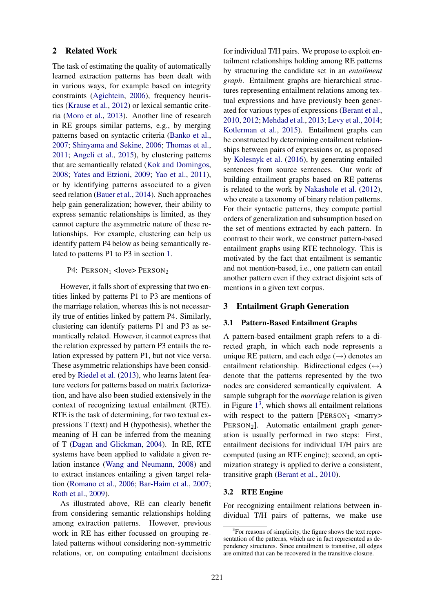## 2 Related Work

The task of estimating the quality of automatically learned extraction patterns has been dealt with in various ways, for example based on integrity constraints (Agichtein, 2006), frequency heuristics (Krause et al., 2012) or lexical semantic criteria (Moro et al., 2013). Another line of research in RE groups similar patterns, e.g., by merging patterns based on syntactic criteria (Banko et al., 2007; Shinyama and Sekine, 2006; Thomas et al., 2011; Angeli et al., 2015), by clustering patterns that are semantically related (Kok and Domingos, 2008; Yates and Etzioni, 2009; Yao et al., 2011), or by identifying patterns associated to a given seed relation (Bauer et al., 2014). Such approaches help gain generalization; however, their ability to express semantic relationships is limited, as they cannot capture the asymmetric nature of these relationships. For example, clustering can help us identify pattern P4 below as being semantically related to patterns P1 to P3 in section 1.

#### P4:  $PERSON_1$  <love>  $PERSON_2$

However, it falls short of expressing that two entities linked by patterns P1 to P3 are mentions of the marriage relation, whereas this is not necessarily true of entities linked by pattern P4. Similarly, clustering can identify patterns P1 and P3 as semantically related. However, it cannot express that the relation expressed by pattern P3 entails the relation expressed by pattern P1, but not vice versa. These asymmetric relationships have been considered by Riedel et al. (2013), who learns latent feature vectors for patterns based on matrix factorization, and have also been studied extensively in the context of recognizing textual entailment (RTE). RTE is the task of determining, for two textual expressions T (text) and H (hypothesis), whether the meaning of H can be inferred from the meaning of T (Dagan and Glickman, 2004). In RE, RTE systems have been applied to validate a given relation instance (Wang and Neumann, 2008) and to extract instances entailing a given target relation (Romano et al., 2006; Bar-Haim et al., 2007; Roth et al., 2009).

As illustrated above, RE can clearly benefit from considering semantic relationships holding among extraction patterns. However, previous work in RE has either focussed on grouping related patterns without considering non-symmetric relations, or, on computing entailment decisions

for individual T/H pairs. We propose to exploit entailment relationships holding among RE patterns by structuring the candidate set in an *entailment graph*. Entailment graphs are hierarchical structures representing entailment relations among textual expressions and have previously been generated for various types of expressions (Berant et al., 2010, 2012; Mehdad et al., 2013; Levy et al., 2014; Kotlerman et al., 2015). Entailment graphs can be constructed by determining entailment relationships between pairs of expressions or, as proposed by Kolesnyk et al. (2016), by generating entailed sentences from source sentences. Our work of building entailment graphs based on RE patterns is related to the work by Nakashole et al. (2012), who create a taxonomy of binary relation patterns. For their syntactic patterns, they compute partial orders of generalization and subsumption based on the set of mentions extracted by each pattern. In contrast to their work, we construct pattern-based entailment graphs using RTE technology. This is motivated by the fact that entailment is semantic and not mention-based, i.e., one pattern can entail another pattern even if they extract disjoint sets of mentions in a given text corpus.

## 3 Entailment Graph Generation

#### 3.1 Pattern-Based Entailment Graphs

A pattern-based entailment graph refers to a directed graph, in which each node represents a unique RE pattern, and each edge  $(\rightarrow)$  denotes an entailment relationship. Bidirectional edges  $(\leftrightarrow)$ denote that the patterns represented by the two nodes are considered semantically equivalent. A sample subgraph for the *marriage* relation is given in Figure  $1<sup>3</sup>$ , which shows all entailment relations with respect to the pattern  $[Person_1$  <marry> PERSON<sub>2</sub>]. Automatic entailment graph generation is usually performed in two steps: First, entailment decisions for individual T/H pairs are computed (using an RTE engine); second, an optimization strategy is applied to derive a consistent, transitive graph (Berant et al., 2010).

#### 3.2 RTE Engine

For recognizing entailment relations between individual T/H pairs of patterns, we make use

<sup>&</sup>lt;sup>3</sup>For reasons of simplicity, the figure shows the text representation of the patterns, which are in fact represented as dependency structures. Since entailment is transitive, all edges are omitted that can be recovered in the transitive closure.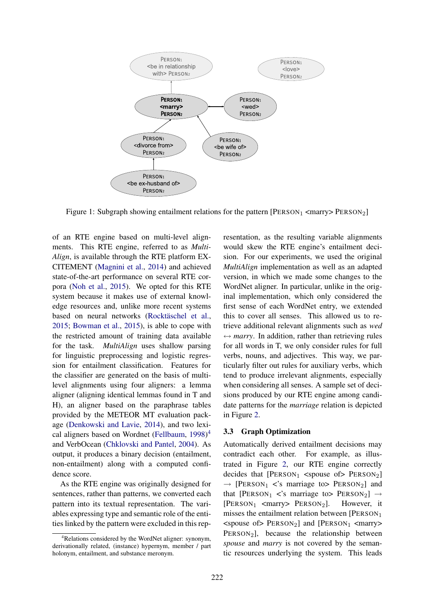

Figure 1: Subgraph showing entailment relations for the pattern  $[Person_1$  <marry> $PERSON_2]$ 

of an RTE engine based on multi-level alignments. This RTE engine, referred to as *Multi-Align*, is available through the RTE platform EX-CITEMENT (Magnini et al., 2014) and achieved state-of-the-art performance on several RTE corpora (Noh et al., 2015). We opted for this RTE system because it makes use of external knowledge resources and, unlike more recent systems based on neural networks (Rocktäschel et al., 2015; Bowman et al., 2015), is able to cope with the restricted amount of training data available for the task. *MultiAlign* uses shallow parsing for linguistic preprocessing and logistic regression for entailment classification. Features for the classifier are generated on the basis of multilevel alignments using four aligners: a lemma aligner (aligning identical lemmas found in T and H), an aligner based on the paraphrase tables provided by the METEOR MT evaluation package (Denkowski and Lavie, 2014), and two lexical aligners based on Wordnet (Fellbaum, 1998) 4 and VerbOcean (Chklovski and Pantel, 2004). As output, it produces a binary decision (entailment, non-entailment) along with a computed confidence score.

As the RTE engine was originally designed for sentences, rather than patterns, we converted each pattern into its textual representation. The variables expressing type and semantic role of the entities linked by the pattern were excluded in this representation, as the resulting variable alignments would skew the RTE engine's entailment decision. For our experiments, we used the original *MultiAlign* implementation as well as an adapted version, in which we made some changes to the WordNet aligner. In particular, unlike in the original implementation, which only considered the first sense of each WordNet entry, we extended this to cover all senses. This allowed us to retrieve additional relevant alignments such as *wed*  $\leftrightarrow$  *marry*. In addition, rather than retrieving rules for all words in T, we only consider rules for full verbs, nouns, and adjectives. This way, we particularly filter out rules for auxiliary verbs, which tend to produce irrelevant alignments, especially when considering all senses. A sample set of decisions produced by our RTE engine among candidate patterns for the *marriage* relation is depicted in Figure 2.

## 3.3 Graph Optimization

Automatically derived entailment decisions may contradict each other. For example, as illustrated in Figure 2, our RTE engine correctly decides that  $[Person_1$  <spouse of PERSON<sub>2</sub>]  $\rightarrow$  [PERSON<sub>1</sub> <'s marriage to PERSON<sub>2</sub>] and that [PERSON<sub>1</sub> <'s marriage to> PERSON<sub>2</sub>]  $\rightarrow$  [PERSON<sub>1</sub> <marry> PERSON<sub>2</sub>]. However, it [ $PERSON_1$  <marry>  $PERSON_2$ ]. misses the entailment relation between [PERSON<sup>1</sup>  $\langle$ spouse of> PERSON<sub>2</sub>] and [PERSON<sub>1</sub>  $\langle$ marry> PERSON<sub>2</sub>], because the relationship between *spouse* and *marry* is not covered by the semantic resources underlying the system. This leads

<sup>&</sup>lt;sup>4</sup>Relations considered by the WordNet aligner: synonym, derivationally related, (instance) hypernym, member / part holonym, entailment, and substance meronym.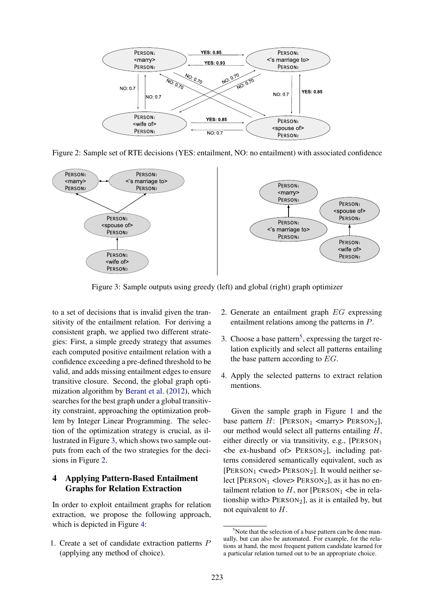

Figure 2: Sample set of RTE decisions (YES: entailment, NO: no entailment) with associated confidence



Figure 3: Sample outputs using greedy (left) and global (right) graph optimizer

to a set of decisions that is invalid given the transitivity of the entailment relation. For deriving a consistent graph, we applied two different strategies: First, a simple greedy strategy that assumes each computed positive entailment relation with a confidence exceeding a pre-defined threshold to be valid, and adds missing entailment edges to ensure transitive closure. Second, the global graph optimization algorithm by Berant et al. (2012), which searches for the best graph under a global transitivity constraint, approaching the optimization problem by Integer Linear Programming. The selection of the optimization strategy is crucial, as illustrated in Figure 3, which shows two sample outputs from each of the two strategies for the decisions in Figure 2.

## 4 Applying Pattern-Based Entailment Graphs for Relation Extraction

In order to exploit entailment graphs for relation extraction, we propose the following approach, which is depicted in Figure 4:

1. Create a set of candidate extraction patterns P (applying any method of choice).

- 2. Generate an entailment graph EG expressing entailment relations among the patterns in P.
- 3. Choose a base pattern<sup>5</sup>, expressing the target relation explicitly and select all patterns entailing the base pattern according to  $EG$ .
- 4. Apply the selected patterns to extract relation mentions.

Given the sample graph in Figure 1 and the base pattern  $H$ : [PERSON<sub>1</sub> <marry> PERSON<sub>2</sub>], our method would select all patterns entailing  $H$ , either directly or via transitivity, e.g.,  $[Person_1]$  $\leq$  be ex-husband of PERSON<sub>2</sub>], including patterns considered semantically equivalent, such as  $[Person_1 <$ wed>  $Person_2]$ . It would neither select [PERSON<sub>1</sub> <love> PERSON<sub>2</sub>], as it has no entailment relation to  $H$ , nor [PERSON<sub>1</sub> <br/>be in relationship with>  $PERSON<sub>2</sub>$ ], as it is entailed by, but not equivalent to H.

 $5$ Note that the selection of a base pattern can be done manually, but can also be automated. For example, for the relations at hand, the most frequent pattern candidate learned for a particular relation turned out to be an appropriate choice.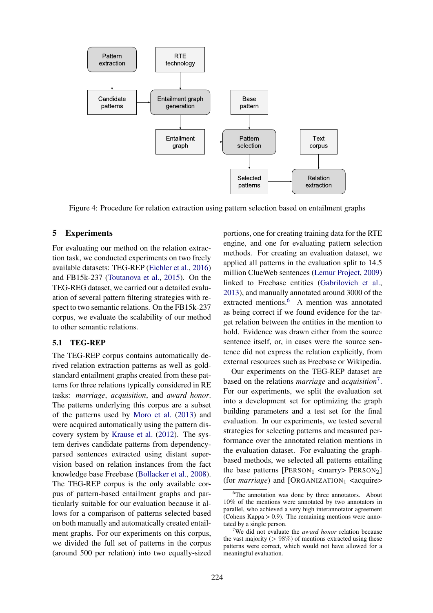

Figure 4: Procedure for relation extraction using pattern selection based on entailment graphs

#### 5 Experiments

For evaluating our method on the relation extraction task, we conducted experiments on two freely available datasets: TEG-REP (Eichler et al., 2016) and FB15k-237 (Toutanova et al., 2015). On the TEG-REG dataset, we carried out a detailed evaluation of several pattern filtering strategies with respect to two semantic relations. On the FB15k-237 corpus, we evaluate the scalability of our method to other semantic relations.

#### 5.1 TEG-REP

The TEG-REP corpus contains automatically derived relation extraction patterns as well as goldstandard entailment graphs created from these patterns for three relations typically considered in RE tasks: *marriage*, *acquisition*, and *award honor*. The patterns underlying this corpus are a subset of the patterns used by Moro et al. (2013) and were acquired automatically using the pattern discovery system by Krause et al. (2012). The system derives candidate patterns from dependencyparsed sentences extracted using distant supervision based on relation instances from the fact knowledge base Freebase (Bollacker et al., 2008). The TEG-REP corpus is the only available corpus of pattern-based entailment graphs and particularly suitable for our evaluation because it allows for a comparison of patterns selected based on both manually and automatically created entailment graphs. For our experiments on this corpus, we divided the full set of patterns in the corpus (around 500 per relation) into two equally-sized

portions, one for creating training data for the RTE engine, and one for evaluating pattern selection methods. For creating an evaluation dataset, we applied all patterns in the evaluation split to 14.5 million ClueWeb sentences (Lemur Project, 2009) linked to Freebase entities (Gabrilovich et al., 2013), and manually annotated around 3000 of the extracted mentions.<sup>6</sup> A mention was annotated as being correct if we found evidence for the target relation between the entities in the mention to hold. Evidence was drawn either from the source sentence itself, or, in cases were the source sentence did not express the relation explicitly, from external resources such as Freebase or Wikipedia.

Our experiments on the TEG-REP dataset are based on the relations *marriage* and *acquisition*<sup>7</sup> . For our experiments, we split the evaluation set into a development set for optimizing the graph building parameters and a test set for the final evaluation. In our experiments, we tested several strategies for selecting patterns and measured performance over the annotated relation mentions in the evaluation dataset. For evaluating the graphbased methods, we selected all patterns entailing the base patterns  $[Person_1$  <marry>  $Person_2]$ (for *marriage*) and  $[ORGANIZATION_1 \textless$  <acquire>

<sup>&</sup>lt;sup>6</sup>The annotation was done by three annotators. About 10% of the mentions were annotated by two annotators in parallel, who achieved a very high interannotator agreement (Cohens Kappa  $> 0.9$ ). The remaining mentions were annotated by a single person.

<sup>7</sup>We did not evaluate the *award honor* relation because the vast majority ( $> 98\%$ ) of mentions extracted using these patterns were correct, which would not have allowed for a meaningful evaluation.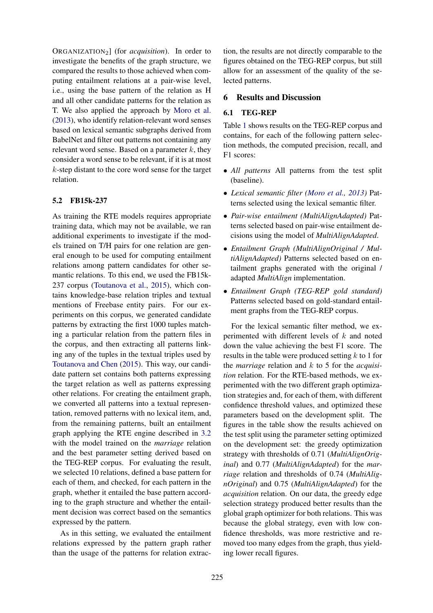ORGANIZATION2] (for *acquisition*). In order to investigate the benefits of the graph structure, we compared the results to those achieved when computing entailment relations at a pair-wise level, i.e., using the base pattern of the relation as H and all other candidate patterns for the relation as T. We also applied the approach by Moro et al. (2013), who identify relation-relevant word senses based on lexical semantic subgraphs derived from BabelNet and filter out patterns not containing any relevant word sense. Based on a parameter  $k$ , they consider a word sense to be relevant, if it is at most k-step distant to the core word sense for the target relation.

## 5.2 FB15k-237

As training the RTE models requires appropriate training data, which may not be available, we ran additional experiments to investigate if the models trained on T/H pairs for one relation are general enough to be used for computing entailment relations among pattern candidates for other semantic relations. To this end, we used the FB15k-237 corpus (Toutanova et al., 2015), which contains knowledge-base relation triples and textual mentions of Freebase entity pairs. For our experiments on this corpus, we generated candidate patterns by extracting the first 1000 tuples matching a particular relation from the pattern files in the corpus, and then extracting all patterns linking any of the tuples in the textual triples used by Toutanova and Chen (2015). This way, our candidate pattern set contains both patterns expressing the target relation as well as patterns expressing other relations. For creating the entailment graph, we converted all patterns into a textual representation, removed patterns with no lexical item, and, from the remaining patterns, built an entailment graph applying the RTE engine described in 3.2 with the model trained on the *marriage* relation and the best parameter setting derived based on the TEG-REP corpus. For evaluating the result, we selected 10 relations, defined a base pattern for each of them, and checked, for each pattern in the graph, whether it entailed the base pattern according to the graph structure and whether the entailment decision was correct based on the semantics expressed by the pattern.

As in this setting, we evaluated the entailment relations expressed by the pattern graph rather than the usage of the patterns for relation extraction, the results are not directly comparable to the figures obtained on the TEG-REP corpus, but still allow for an assessment of the quality of the selected patterns.

#### 6 Results and Discussion

## 6.1 TEG-REP

Table 1 shows results on the TEG-REP corpus and contains, for each of the following pattern selection methods, the computed precision, recall, and F1 scores:

- *All patterns* All patterns from the test split (baseline).
- *Lexical semantic filter (Moro et al., 2013)* Patterns selected using the lexical semantic filter.
- *Pair-wise entailment (MultiAlignAdapted)* Patterns selected based on pair-wise entailment decisions using the model of *MultiAlignAdapted*.
- *Entailment Graph (MultiAlignOriginal / MultiAlignAdapted)* Patterns selected based on entailment graphs generated with the original / adapted *MultiAlign* implementation.
- *Entailment Graph (TEG-REP gold standard)* Patterns selected based on gold-standard entailment graphs from the TEG-REP corpus.

For the lexical semantic filter method, we experimented with different levels of k and noted down the value achieving the best F1 score. The results in the table were produced setting  $k$  to 1 for the *marriage* relation and k to 5 for the *acquisition* relation. For the RTE-based methods, we experimented with the two different graph optimization strategies and, for each of them, with different confidence threshold values, and optimized these parameters based on the development split. The figures in the table show the results achieved on the test split using the parameter setting optimized on the development set: the greedy optimization strategy with thresholds of 0.71 (*MultiAlignOriginal*) and 0.77 (*MultiAlignAdapted*) for the *marriage* relation and thresholds of 0.74 (*MultiAlignOriginal*) and 0.75 (*MultiAlignAdapted*) for the *acquisition* relation. On our data, the greedy edge selection strategy produced better results than the global graph optimizer for both relations. This was because the global strategy, even with low confidence thresholds, was more restrictive and removed too many edges from the graph, thus yielding lower recall figures.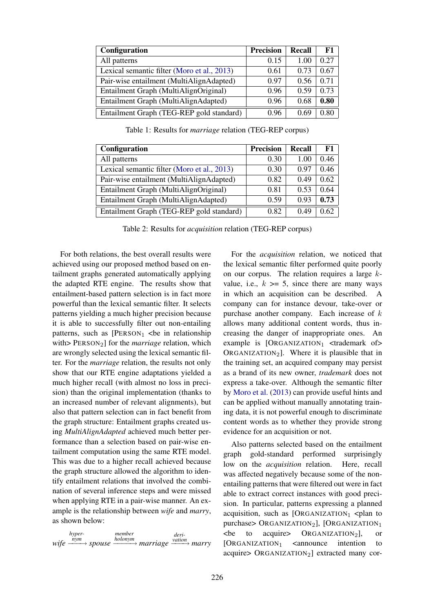| <b>Configuration</b>                        | <b>Precision</b> | Recall | F1   |
|---------------------------------------------|------------------|--------|------|
| All patterns                                | 0.15             | 1.00   | 0.27 |
| Lexical semantic filter (Moro et al., 2013) | 0.61             | 0.73   | 0.67 |
| Pair-wise entailment (MultiAlignAdapted)    | 0.97             | 0.56   | 0.71 |
| Entailment Graph (MultiAlignOriginal)       | 0.96             | 0.59   | 0.73 |
| Entailment Graph (MultiAlignAdapted)        | 0.96             | 0.68   | 0.80 |
| Entailment Graph (TEG-REP gold standard)    | 0.96             | 0.69   | O 80 |

Table 1: Results for *marriage* relation (TEG-REP corpus)

| <b>Configuration</b>                        | <b>Precision</b> | Recall | F1   |
|---------------------------------------------|------------------|--------|------|
| All patterns                                | 0.30             | 1.00   | 0.46 |
| Lexical semantic filter (Moro et al., 2013) | 0.30             | 0.97   | 0.46 |
| Pair-wise entailment (MultiAlignAdapted)    | 0.82             | 0.49   | 0.62 |
| Entailment Graph (MultiAlignOriginal)       | 0.81             | 0.53   | 0.64 |
| Entailment Graph (MultiAlignAdapted)        | 0.59             | 0.93   | 0.73 |
| Entailment Graph (TEG-REP gold standard)    | 0.82             | 0.49   | 0.62 |

Table 2: Results for *acquisition* relation (TEG-REP corpus)

For both relations, the best overall results were achieved using our proposed method based on entailment graphs generated automatically applying the adapted RTE engine. The results show that entailment-based pattern selection is in fact more powerful than the lexical semantic filter. It selects patterns yielding a much higher precision because it is able to successfully filter out non-entailing patterns, such as  $[Person_1$  <br/>be in relationship with> PERSON<sub>2</sub>] for the *marriage* relation, which are wrongly selected using the lexical semantic filter. For the *marriage* relation, the results not only show that our RTE engine adaptations yielded a much higher recall (with almost no loss in precision) than the original implementation (thanks to an increased number of relevant alignments), but also that pattern selection can in fact benefit from the graph structure: Entailment graphs created using *MultiAlignAdapted* achieved much better performance than a selection based on pair-wise entailment computation using the same RTE model. This was due to a higher recall achieved because the graph structure allowed the algorithm to identify entailment relations that involved the combination of several inference steps and were missed when applying RTE in a pair-wise manner. An example is the relationship between *wife* and *marry*, as shown below:

 $wife \xrightarrow{\hat{n}ym} spouse \xrightarrow{holonym} marriage$ *hypermember deri-vation* −−−→ *marry*

For the *acquisition* relation, we noticed that the lexical semantic filter performed quite poorly on our corpus. The relation requires a large kvalue, i.e.,  $k \geq 5$ , since there are many ways in which an acquisition can be described. A company can for instance devour, take-over or purchase another company. Each increase of  $k$ allows many additional content words, thus increasing the danger of inappropriate ones. An example is  $[ORGANIZATION_1 \times trademark$  of ORGANIZATION<sub>2</sub>]. Where it is plausible that in the training set, an acquired company may persist as a brand of its new owner, *trademark* does not express a take-over. Although the semantic filter by Moro et al. (2013) can provide useful hints and can be applied without manually annotating training data, it is not powerful enough to discriminate content words as to whether they provide strong evidence for an acquisition or not.

Also patterns selected based on the entailment graph gold-standard performed surprisingly low on the *acquisition* relation. Here, recall was affected negatively because some of the nonentailing patterns that were filtered out were in fact able to extract correct instances with good precision. In particular, patterns expressing a planned acquisition, such as  $[ORGANIZATION_1 \le plan$  to purchase> ORGANIZATION<sub>2</sub>], [ORGANIZATION<sub>1</sub>  $\epsilon$  to acquire> ORGANIZATION<sub>2</sub>], or  $[ORGANIZATION_1$  <announce intention to acquire>  $O$ RGANIZATION<sub>2</sub>] extracted many cor-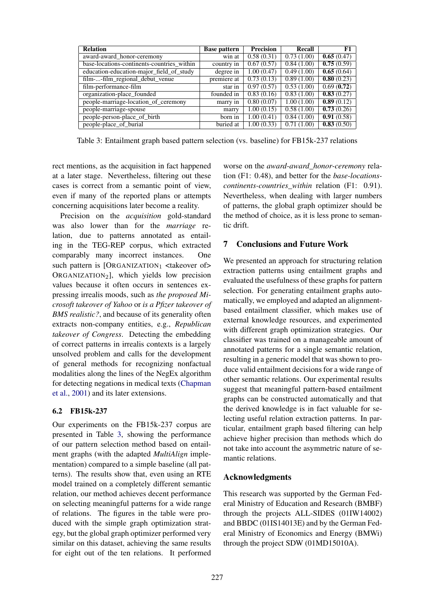| <b>Relation</b>                            | <b>Base pattern</b> | <b>Precision</b> | Recall     | F1         |
|--------------------------------------------|---------------------|------------------|------------|------------|
| award-award_honor-ceremony                 | win at              | 0.58(0.31)       | 0.73(1.00) | 0.65(0.47) |
| base-locations-continents-countries within | country in          | 0.67(0.57)       | 0.84(1.00) | 0.75(0.59) |
| education-education-major field of study   | degree in           | 1.00(0.47)       | 0.49(1.00) | 0.65(0.64) |
| film--film_regional_debut_venue            | premiere at         | 0.73(0.13)       | 0.89(1.00) | 0.80(0.23) |
| film-performance-film                      | star in             | 0.97(0.57)       | 0.53(1.00) | 0.69(0.72) |
| organization-place_founded                 | founded in          | 0.83(0.16)       | 0.83(1.00) | 0.83(0.27) |
| people-marriage-location_of_ceremony       | marry in            | 0.80(0.07)       | 1.00(1.00) | 0.89(0.12) |
| people-marriage-spouse                     | marry               | 1.00(0.15)       | 0.58(1.00) | 0.73(0.26) |
| people-person-place_of_birth               | born in             | 1.00(0.41)       | 0.84(1.00) | 0.91(0.58) |
| people-place_of_burial                     | buried at           | 1.00(0.33)       | 0.71(1.00) | 0.83(0.50) |

Table 3: Entailment graph based pattern selection (vs. baseline) for FB15k-237 relations

rect mentions, as the acquisition in fact happened at a later stage. Nevertheless, filtering out these cases is correct from a semantic point of view, even if many of the reported plans or attempts concerning acquisitions later become a reality.

Precision on the *acquisition* gold-standard was also lower than for the *marriage* relation, due to patterns annotated as entailing in the TEG-REP corpus, which extracted comparably many incorrect instances. One such pattern is  $[ORGANIZATION_1$  <takeover of> ORGANIZATION<sub>2</sub>], which yields low precision values because it often occurs in sentences expressing irrealis moods, such as *the proposed Microsoft takeover of Yahoo* or *is a Pfizer takeover of BMS realistic?*, and because of its generality often extracts non-company entities, e.g., *Republican takeover of Congress*. Detecting the embedding of correct patterns in irrealis contexts is a largely unsolved problem and calls for the development of general methods for recognizing nonfactual modalities along the lines of the NegEx algorithm for detecting negations in medical texts (Chapman et al., 2001) and its later extensions.

## 6.2 FB15k-237

Our experiments on the FB15k-237 corpus are presented in Table 3, showing the performance of our pattern selection method based on entailment graphs (with the adapted *MultiAlign* implementation) compared to a simple baseline (all patterns). The results show that, even using an RTE model trained on a completely different semantic relation, our method achieves decent performance on selecting meaningful patterns for a wide range of relations. The figures in the table were produced with the simple graph optimization strategy, but the global graph optimizer performed very similar on this dataset, achieving the same results for eight out of the ten relations. It performed

worse on the *award-award\_honor-ceremony* relation (F1: 0.48), and better for the *base-locationscontinents-countries\_within* relation (F1: 0.91). Nevertheless, when dealing with larger numbers of patterns, the global graph optimizer should be the method of choice, as it is less prone to semantic drift.

# 7 Conclusions and Future Work

We presented an approach for structuring relation extraction patterns using entailment graphs and evaluated the usefulness of these graphs for pattern selection. For generating entailment graphs automatically, we employed and adapted an alignmentbased entailment classifier, which makes use of external knowledge resources, and experimented with different graph optimization strategies. Our classifier was trained on a manageable amount of annotated patterns for a single semantic relation, resulting in a generic model that was shown to produce valid entailment decisions for a wide range of other semantic relations. Our experimental results suggest that meaningful pattern-based entailment graphs can be constructed automatically and that the derived knowledge is in fact valuable for selecting useful relation extraction patterns. In particular, entailment graph based filtering can help achieve higher precision than methods which do not take into account the asymmetric nature of semantic relations.

## Acknowledgments

This research was supported by the German Federal Ministry of Education and Research (BMBF) through the projects ALL-SIDES (01IW14002) and BBDC (01IS14013E) and by the German Federal Ministry of Economics and Energy (BMWi) through the project SDW (01MD15010A).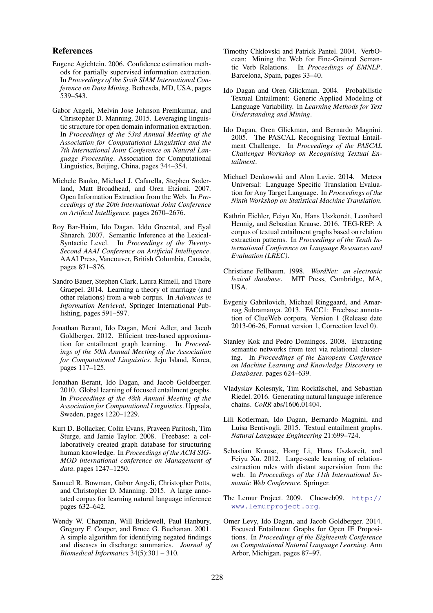#### References

- Eugene Agichtein. 2006. Confidence estimation methods for partially supervised information extraction. In *Proceedings of the Sixth SIAM International Conference on Data Mining*. Bethesda, MD, USA, pages 539–543.
- Gabor Angeli, Melvin Jose Johnson Premkumar, and Christopher D. Manning. 2015. Leveraging linguistic structure for open domain information extraction. In *Proceedings of the 53rd Annual Meeting of the Association for Computational Linguistics and the 7th International Joint Conference on Natural Language Processing*. Association for Computational Linguistics, Beijing, China, pages 344–354.
- Michele Banko, Michael J. Cafarella, Stephen Soderland, Matt Broadhead, and Oren Etzioni. 2007. Open Information Extraction from the Web. In *Proceedings of the 20th International Joint Conference on Artifical Intelligence*. pages 2670–2676.
- Roy Bar-Haim, Ido Dagan, Iddo Greental, and Eyal Shnarch. 2007. Semantic Inference at the Lexical-Syntactic Level. In *Proceedings of the Twenty-Second AAAI Conference on Artificial Intelligence*. AAAI Press, Vancouver, British Columbia, Canada, pages 871–876.
- Sandro Bauer, Stephen Clark, Laura Rimell, and Thore Graepel. 2014. Learning a theory of marriage (and other relations) from a web corpus. In *Advances in Information Retrieval*, Springer International Publishing, pages 591–597.
- Jonathan Berant, Ido Dagan, Meni Adler, and Jacob Goldberger. 2012. Efficient tree-based approximation for entailment graph learning. In *Proceedings of the 50th Annual Meeting of the Association for Computational Linguistics*. Jeju Island, Korea, pages 117–125.
- Jonathan Berant, Ido Dagan, and Jacob Goldberger. 2010. Global learning of focused entailment graphs. In *Proceedings of the 48th Annual Meeting of the Association for Computational Linguistics*. Uppsala, Sweden, pages 1220–1229.
- Kurt D. Bollacker, Colin Evans, Praveen Paritosh, Tim Sturge, and Jamie Taylor. 2008. Freebase: a collaboratively created graph database for structuring human knowledge. In *Proceedings of the ACM SIG-MOD international conference on Management of data*. pages 1247–1250.
- Samuel R. Bowman, Gabor Angeli, Christopher Potts, and Christopher D. Manning. 2015. A large annotated corpus for learning natural language inference pages 632–642.
- Wendy W. Chapman, Will Bridewell, Paul Hanbury, Gregory F. Cooper, and Bruce G. Buchanan. 2001. A simple algorithm for identifying negated findings and diseases in discharge summaries. *Journal of Biomedical Informatics* 34(5):301 – 310.
- Timothy Chklovski and Patrick Pantel. 2004. VerbOcean: Mining the Web for Fine-Grained Semantic Verb Relations. In *Proceedings of EMNLP*. Barcelona, Spain, pages 33–40.
- Ido Dagan and Oren Glickman. 2004. Probabilistic Textual Entailment: Generic Applied Modeling of Language Variability. In *Learning Methods for Text Understanding and Mining*.
- Ido Dagan, Oren Glickman, and Bernardo Magnini. 2005. The PASCAL Recognising Textual Entailment Challenge. In *Proceedings of the PASCAL Challenges Workshop on Recognising Textual Entailment*.
- Michael Denkowski and Alon Lavie. 2014. Meteor Universal: Language Specific Translation Evaluation for Any Target Language. In *Proceedings of the Ninth Workshop on Statistical Machine Translation*.
- Kathrin Eichler, Feiyu Xu, Hans Uszkoreit, Leonhard Hennig, and Sebastian Krause. 2016. TEG-REP: A corpus of textual entailment graphs based on relation extraction patterns. In *Proceedings of the Tenth International Conference on Language Resources and Evaluation (LREC)*.
- Christiane Fellbaum. 1998. *WordNet: an electronic lexical database*. MIT Press, Cambridge, MA, USA.
- Evgeniy Gabrilovich, Michael Ringgaard, and Amarnag Subramanya. 2013. FACC1: Freebase annotation of ClueWeb corpora, Version 1 (Release date 2013-06-26, Format version 1, Correction level 0).
- Stanley Kok and Pedro Domingos. 2008. Extracting semantic networks from text via relational clustering. In *Proceedings of the European Conference on Machine Learning and Knowledge Discovery in Databases*. pages 624–639.
- Vladyslav Kolesnyk, Tim Rocktäschel, and Sebastian Riedel. 2016. Generating natural language inference chains. *CoRR* abs/1606.01404.
- Lili Kotlerman, Ido Dagan, Bernardo Magnini, and Luisa Bentivogli. 2015. Textual entailment graphs. *Natural Language Engineering* 21:699–724.
- Sebastian Krause, Hong Li, Hans Uszkoreit, and Feiyu Xu. 2012. Large-scale learning of relationextraction rules with distant supervision from the web. In *Proceedings of the 11th International Semantic Web Conference*. Springer.
- The Lemur Project. 2009. Clueweb09. http:// www.lemurproject.org.
- Omer Levy, Ido Dagan, and Jacob Goldberger. 2014. Focused Entailment Graphs for Open IE Propositions. In *Proceedings of the Eighteenth Conference on Computational Natural Language Learning*. Ann Arbor, Michigan, pages 87–97.